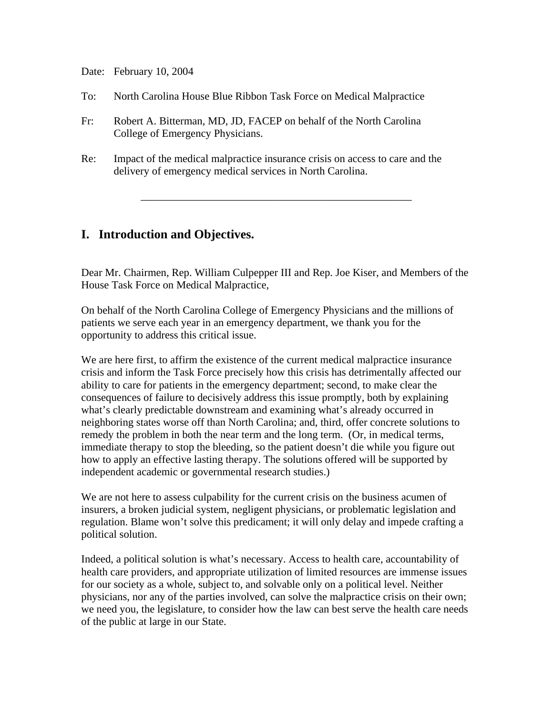Date: February 10, 2004

- To: North Carolina House Blue Ribbon Task Force on Medical Malpractice
- Fr: Robert A. Bitterman, MD, JD, FACEP on behalf of the North Carolina College of Emergency Physicians.
- Re: Impact of the medical malpractice insurance crisis on access to care and the delivery of emergency medical services in North Carolina.

# **I. Introduction and Objectives.**

Dear Mr. Chairmen, Rep. William Culpepper III and Rep. Joe Kiser, and Members of the House Task Force on Medical Malpractice,

\_\_\_\_\_\_\_\_\_\_\_\_\_\_\_\_\_\_\_\_\_\_\_\_\_\_\_\_\_\_\_\_\_\_\_\_\_\_\_\_\_\_\_\_\_\_\_\_\_\_

On behalf of the North Carolina College of Emergency Physicians and the millions of patients we serve each year in an emergency department, we thank you for the opportunity to address this critical issue.

We are here first, to affirm the existence of the current medical malpractice insurance crisis and inform the Task Force precisely how this crisis has detrimentally affected our ability to care for patients in the emergency department; second, to make clear the consequences of failure to decisively address this issue promptly, both by explaining what's clearly predictable downstream and examining what's already occurred in neighboring states worse off than North Carolina; and, third, offer concrete solutions to remedy the problem in both the near term and the long term. (Or, in medical terms, immediate therapy to stop the bleeding, so the patient doesn't die while you figure out how to apply an effective lasting therapy. The solutions offered will be supported by independent academic or governmental research studies.)

We are not here to assess culpability for the current crisis on the business acumen of insurers, a broken judicial system, negligent physicians, or problematic legislation and regulation. Blame won't solve this predicament; it will only delay and impede crafting a political solution.

Indeed, a political solution is what's necessary. Access to health care, accountability of health care providers, and appropriate utilization of limited resources are immense issues for our society as a whole, subject to, and solvable only on a political level. Neither physicians, nor any of the parties involved, can solve the malpractice crisis on their own; we need you, the legislature, to consider how the law can best serve the health care needs of the public at large in our State.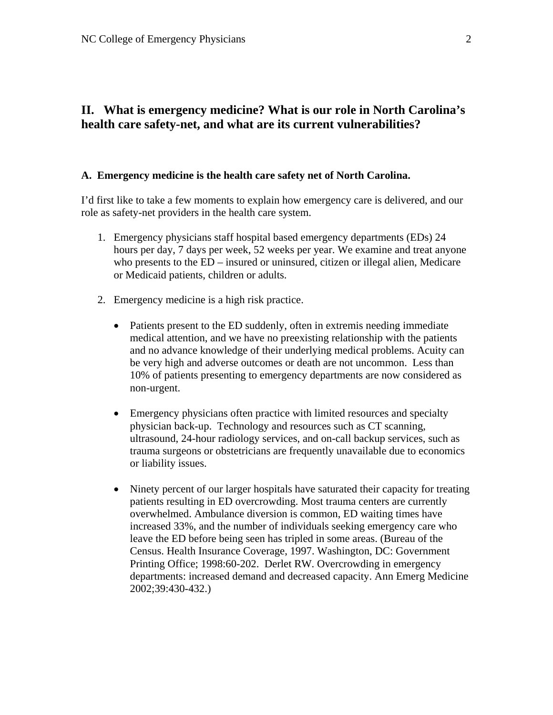# **II. What is emergency medicine? What is our role in North Carolina's health care safety-net, and what are its current vulnerabilities?**

### **A. Emergency medicine is the health care safety net of North Carolina.**

I'd first like to take a few moments to explain how emergency care is delivered, and our role as safety-net providers in the health care system.

- 1. Emergency physicians staff hospital based emergency departments (EDs) 24 hours per day, 7 days per week, 52 weeks per year. We examine and treat anyone who presents to the ED – insured or uninsured, citizen or illegal alien, Medicare or Medicaid patients, children or adults.
- 2. Emergency medicine is a high risk practice.
	- Patients present to the ED suddenly, often in extremis needing immediate medical attention, and we have no preexisting relationship with the patients and no advance knowledge of their underlying medical problems. Acuity can be very high and adverse outcomes or death are not uncommon. Less than 10% of patients presenting to emergency departments are now considered as non-urgent.
	- Emergency physicians often practice with limited resources and specialty physician back-up. Technology and resources such as CT scanning, ultrasound, 24-hour radiology services, and on-call backup services, such as trauma surgeons or obstetricians are frequently unavailable due to economics or liability issues.
	- Ninety percent of our larger hospitals have saturated their capacity for treating patients resulting in ED overcrowding. Most trauma centers are currently overwhelmed. Ambulance diversion is common, ED waiting times have increased 33%, and the number of individuals seeking emergency care who leave the ED before being seen has tripled in some areas. (Bureau of the Census. Health Insurance Coverage, 1997. Washington, DC: Government Printing Office; 1998:60-202. Derlet RW. Overcrowding in emergency departments: increased demand and decreased capacity. Ann Emerg Medicine 2002;39:430-432.)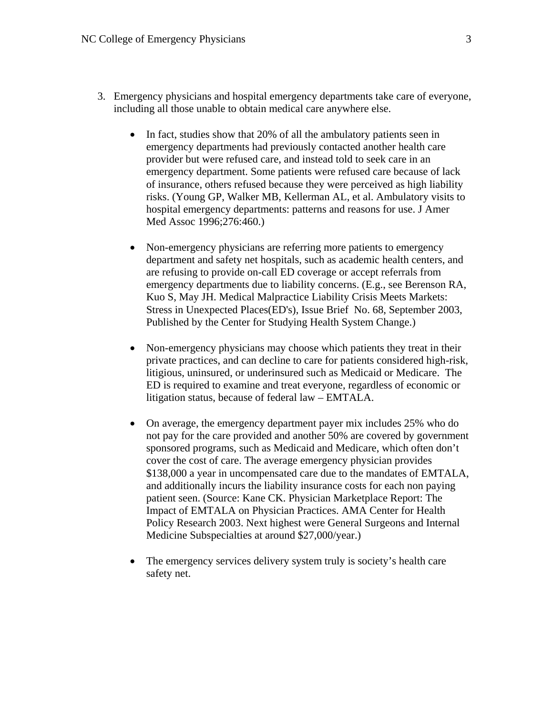- 3. Emergency physicians and hospital emergency departments take care of everyone, including all those unable to obtain medical care anywhere else.
	- In fact, studies show that 20% of all the ambulatory patients seen in emergency departments had previously contacted another health care provider but were refused care, and instead told to seek care in an emergency department. Some patients were refused care because of lack of insurance, others refused because they were perceived as high liability risks. (Young GP, Walker MB, Kellerman AL, et al. Ambulatory visits to hospital emergency departments: patterns and reasons for use. J Amer Med Assoc 1996;276:460.)
	- Non-emergency physicians are referring more patients to emergency department and safety net hospitals, such as academic health centers, and are refusing to provide on-call ED coverage or accept referrals from emergency departments due to liability concerns. (E.g., see Berenson RA, Kuo S, May JH. Medical Malpractice Liability Crisis Meets Markets: Stress in Unexpected Places(ED's), Issue Brief No. 68, September 2003, Published by the Center for Studying Health System Change.)
	- Non-emergency physicians may choose which patients they treat in their private practices, and can decline to care for patients considered high-risk, litigious, uninsured, or underinsured such as Medicaid or Medicare. The ED is required to examine and treat everyone, regardless of economic or litigation status, because of federal law – EMTALA.
	- On average, the emergency department payer mix includes 25% who do not pay for the care provided and another 50% are covered by government sponsored programs, such as Medicaid and Medicare, which often don't cover the cost of care. The average emergency physician provides \$138,000 a year in uncompensated care due to the mandates of EMTALA, and additionally incurs the liability insurance costs for each non paying patient seen. (Source: Kane CK. Physician Marketplace Report: The Impact of EMTALA on Physician Practices. AMA Center for Health Policy Research 2003. Next highest were General Surgeons and Internal Medicine Subspecialties at around \$27,000/year.)
	- The emergency services delivery system truly is society's health care safety net.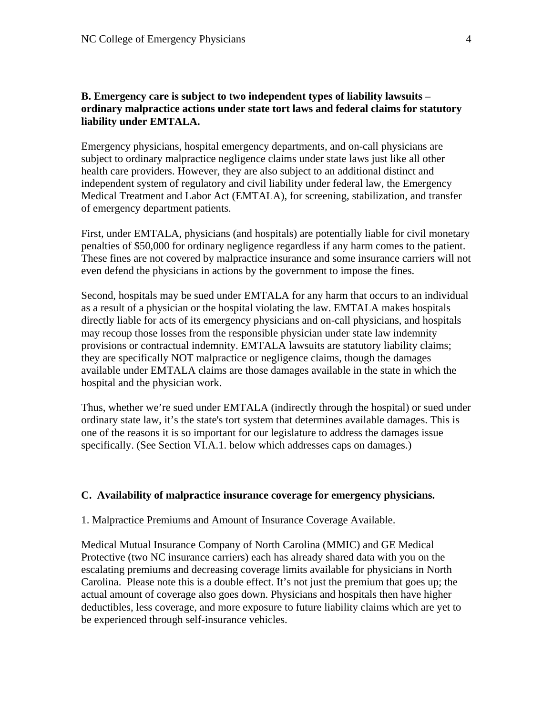### **B. Emergency care is subject to two independent types of liability lawsuits – ordinary malpractice actions under state tort laws and federal claims for statutory liability under EMTALA.**

Emergency physicians, hospital emergency departments, and on-call physicians are subject to ordinary malpractice negligence claims under state laws just like all other health care providers. However, they are also subject to an additional distinct and independent system of regulatory and civil liability under federal law, the Emergency Medical Treatment and Labor Act (EMTALA), for screening, stabilization, and transfer of emergency department patients.

First, under EMTALA, physicians (and hospitals) are potentially liable for civil monetary penalties of \$50,000 for ordinary negligence regardless if any harm comes to the patient. These fines are not covered by malpractice insurance and some insurance carriers will not even defend the physicians in actions by the government to impose the fines.

Second, hospitals may be sued under EMTALA for any harm that occurs to an individual as a result of a physician or the hospital violating the law. EMTALA makes hospitals directly liable for acts of its emergency physicians and on-call physicians, and hospitals may recoup those losses from the responsible physician under state law indemnity provisions or contractual indemnity. EMTALA lawsuits are statutory liability claims; they are specifically NOT malpractice or negligence claims, though the damages available under EMTALA claims are those damages available in the state in which the hospital and the physician work.

Thus, whether we're sued under EMTALA (indirectly through the hospital) or sued under ordinary state law, it's the state's tort system that determines available damages. This is one of the reasons it is so important for our legislature to address the damages issue specifically. (See Section VI.A.1. below which addresses caps on damages.)

#### **C. Availability of malpractice insurance coverage for emergency physicians.**

#### 1. Malpractice Premiums and Amount of Insurance Coverage Available.

Medical Mutual Insurance Company of North Carolina (MMIC) and GE Medical Protective (two NC insurance carriers) each has already shared data with you on the escalating premiums and decreasing coverage limits available for physicians in North Carolina. Please note this is a double effect. It's not just the premium that goes up; the actual amount of coverage also goes down. Physicians and hospitals then have higher deductibles, less coverage, and more exposure to future liability claims which are yet to be experienced through self-insurance vehicles.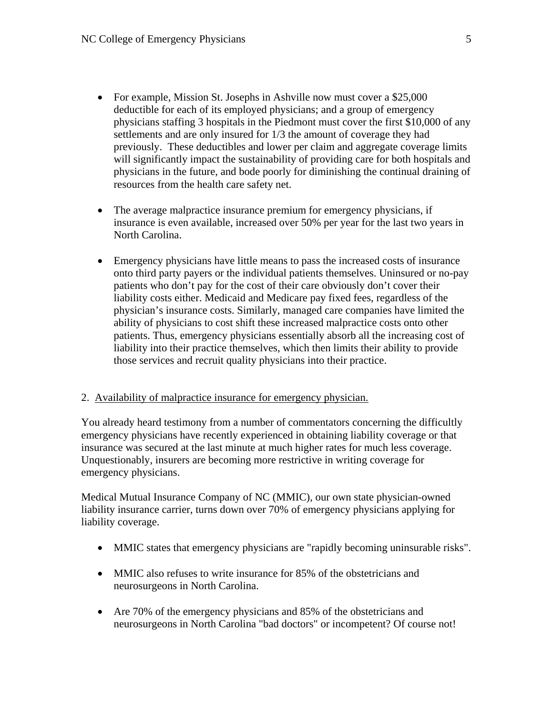- For example, Mission St. Josephs in Ashville now must cover a \$25,000 deductible for each of its employed physicians; and a group of emergency physicians staffing 3 hospitals in the Piedmont must cover the first \$10,000 of any settlements and are only insured for 1/3 the amount of coverage they had previously. These deductibles and lower per claim and aggregate coverage limits will significantly impact the sustainability of providing care for both hospitals and physicians in the future, and bode poorly for diminishing the continual draining of resources from the health care safety net.
- The average malpractice insurance premium for emergency physicians, if insurance is even available, increased over 50% per year for the last two years in North Carolina.
- Emergency physicians have little means to pass the increased costs of insurance onto third party payers or the individual patients themselves. Uninsured or no-pay patients who don't pay for the cost of their care obviously don't cover their liability costs either. Medicaid and Medicare pay fixed fees, regardless of the physician's insurance costs. Similarly, managed care companies have limited the ability of physicians to cost shift these increased malpractice costs onto other patients. Thus, emergency physicians essentially absorb all the increasing cost of liability into their practice themselves, which then limits their ability to provide those services and recruit quality physicians into their practice.

### 2. Availability of malpractice insurance for emergency physician.

You already heard testimony from a number of commentators concerning the difficultly emergency physicians have recently experienced in obtaining liability coverage or that insurance was secured at the last minute at much higher rates for much less coverage. Unquestionably, insurers are becoming more restrictive in writing coverage for emergency physicians.

Medical Mutual Insurance Company of NC (MMIC), our own state physician-owned liability insurance carrier, turns down over 70% of emergency physicians applying for liability coverage.

- MMIC states that emergency physicians are "rapidly becoming uninsurable risks".
- MMIC also refuses to write insurance for 85% of the obstetricians and neurosurgeons in North Carolina.
- Are 70% of the emergency physicians and 85% of the obstetricians and neurosurgeons in North Carolina "bad doctors" or incompetent? Of course not!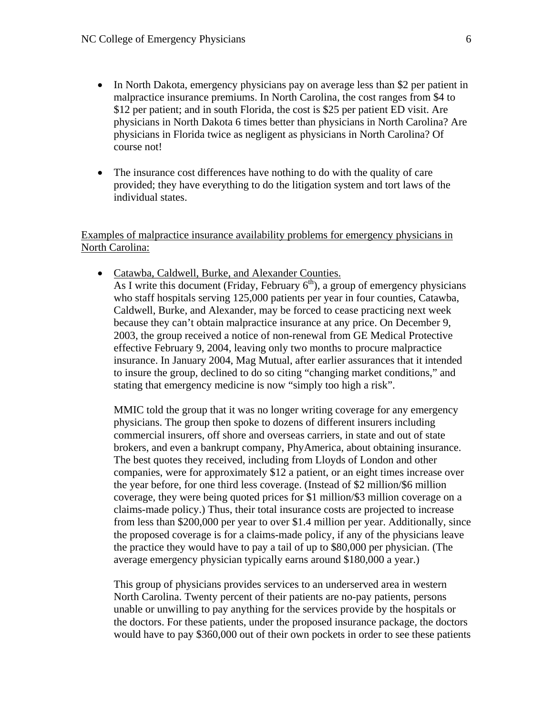- In North Dakota, emergency physicians pay on average less than \$2 per patient in malpractice insurance premiums. In North Carolina, the cost ranges from \$4 to \$12 per patient; and in south Florida, the cost is \$25 per patient ED visit. Are physicians in North Dakota 6 times better than physicians in North Carolina? Are physicians in Florida twice as negligent as physicians in North Carolina? Of course not!
- The insurance cost differences have nothing to do with the quality of care provided; they have everything to do the litigation system and tort laws of the individual states.

Examples of malpractice insurance availability problems for emergency physicians in North Carolina:

• Catawba, Caldwell, Burke, and Alexander Counties.

As I write this document (Friday, February  $6<sup>th</sup>$ ), a group of emergency physicians who staff hospitals serving 125,000 patients per year in four counties, Catawba, Caldwell, Burke, and Alexander, may be forced to cease practicing next week because they can't obtain malpractice insurance at any price. On December 9, 2003, the group received a notice of non-renewal from GE Medical Protective effective February 9, 2004, leaving only two months to procure malpractice insurance. In January 2004, Mag Mutual, after earlier assurances that it intended to insure the group, declined to do so citing "changing market conditions," and stating that emergency medicine is now "simply too high a risk".

MMIC told the group that it was no longer writing coverage for any emergency physicians. The group then spoke to dozens of different insurers including commercial insurers, off shore and overseas carriers, in state and out of state brokers, and even a bankrupt company, PhyAmerica, about obtaining insurance. The best quotes they received, including from Lloyds of London and other companies, were for approximately \$12 a patient, or an eight times increase over the year before, for one third less coverage. (Instead of \$2 million/\$6 million coverage, they were being quoted prices for \$1 million/\$3 million coverage on a claims-made policy.) Thus, their total insurance costs are projected to increase from less than \$200,000 per year to over \$1.4 million per year. Additionally, since the proposed coverage is for a claims-made policy, if any of the physicians leave the practice they would have to pay a tail of up to \$80,000 per physician. (The average emergency physician typically earns around \$180,000 a year.)

This group of physicians provides services to an underserved area in western North Carolina. Twenty percent of their patients are no-pay patients, persons unable or unwilling to pay anything for the services provide by the hospitals or the doctors. For these patients, under the proposed insurance package, the doctors would have to pay \$360,000 out of their own pockets in order to see these patients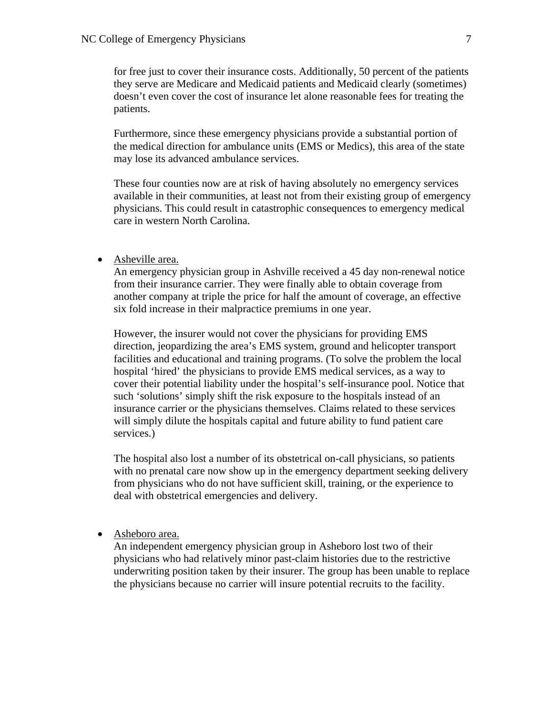for free just to cover their insurance costs. Additionally, 50 percent of the patients they serve are Medicare and Medicaid patients and Medicaid clearly (sometimes) doesn't even cover the cost of insurance let alone reasonable fees for treating the patients.

Furthermore, since these emergency physicians provide a substantial portion of the medical direction for ambulance units (EMS or Medics), this area of the state may lose its advanced ambulance services.

These four counties now are at risk of having absolutely no emergency services available in their communities, at least not from their existing group of emergency physicians. This could result in catastrophic consequences to emergency medical care in western North Carolina.

• Asheville area.

An emergency physician group in Ashville received a 45 day non-renewal notice from their insurance carrier. They were finally able to obtain coverage from another company at triple the price for half the amount of coverage, an effective six fold increase in their malpractice premiums in one year.

However, the insurer would not cover the physicians for providing EMS direction, jeopardizing the area's EMS system, ground and helicopter transport facilities and educational and training programs. (To solve the problem the local hospital 'hired' the physicians to provide EMS medical services, as a way to cover their potential liability under the hospital's self-insurance pool. Notice that such 'solutions' simply shift the risk exposure to the hospitals instead of an insurance carrier or the physicians themselves. Claims related to these services will simply dilute the hospitals capital and future ability to fund patient care services.)

The hospital also lost a number of its obstetrical on-call physicians, so patients with no prenatal care now show up in the emergency department seeking delivery from physicians who do not have sufficient skill, training, or the experience to deal with obstetrical emergencies and delivery.

• Asheboro area.

An independent emergency physician group in Asheboro lost two of their physicians who had relatively minor past-claim histories due to the restrictive underwriting position taken by their insurer. The group has been unable to replace the physicians because no carrier will insure potential recruits to the facility.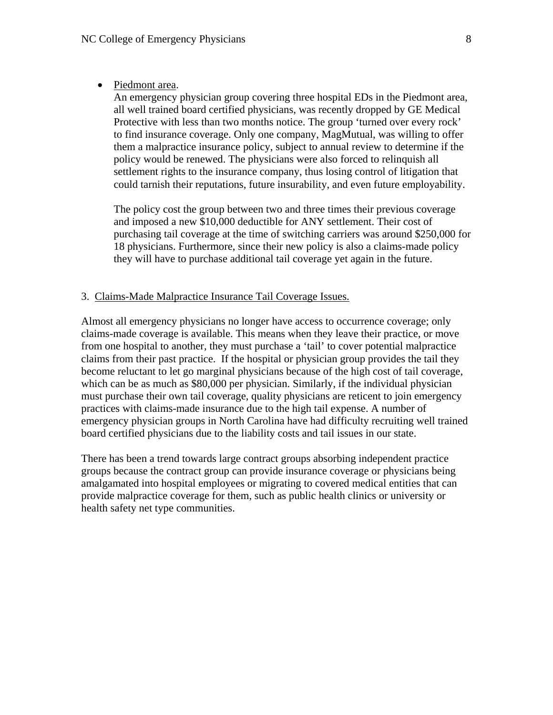• Piedmont area.

An emergency physician group covering three hospital EDs in the Piedmont area, all well trained board certified physicians, was recently dropped by GE Medical Protective with less than two months notice. The group 'turned over every rock' to find insurance coverage. Only one company, MagMutual, was willing to offer them a malpractice insurance policy, subject to annual review to determine if the policy would be renewed. The physicians were also forced to relinquish all settlement rights to the insurance company, thus losing control of litigation that could tarnish their reputations, future insurability, and even future employability.

The policy cost the group between two and three times their previous coverage and imposed a new \$10,000 deductible for ANY settlement. Their cost of purchasing tail coverage at the time of switching carriers was around \$250,000 for 18 physicians. Furthermore, since their new policy is also a claims-made policy they will have to purchase additional tail coverage yet again in the future.

### 3. Claims-Made Malpractice Insurance Tail Coverage Issues.

Almost all emergency physicians no longer have access to occurrence coverage; only claims-made coverage is available. This means when they leave their practice, or move from one hospital to another, they must purchase a 'tail' to cover potential malpractice claims from their past practice. If the hospital or physician group provides the tail they become reluctant to let go marginal physicians because of the high cost of tail coverage, which can be as much as \$80,000 per physician. Similarly, if the individual physician must purchase their own tail coverage, quality physicians are reticent to join emergency practices with claims-made insurance due to the high tail expense. A number of emergency physician groups in North Carolina have had difficulty recruiting well trained board certified physicians due to the liability costs and tail issues in our state.

There has been a trend towards large contract groups absorbing independent practice groups because the contract group can provide insurance coverage or physicians being amalgamated into hospital employees or migrating to covered medical entities that can provide malpractice coverage for them, such as public health clinics or university or health safety net type communities.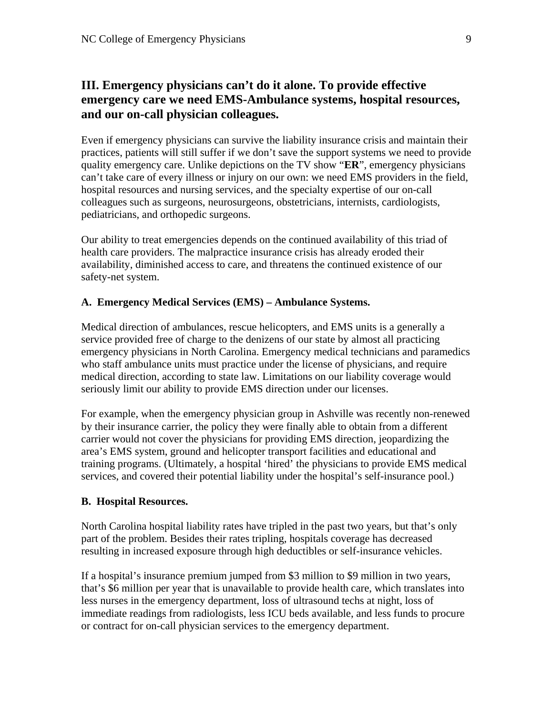# **III. Emergency physicians can't do it alone. To provide effective emergency care we need EMS-Ambulance systems, hospital resources, and our on-call physician colleagues.**

Even if emergency physicians can survive the liability insurance crisis and maintain their practices, patients will still suffer if we don't save the support systems we need to provide quality emergency care. Unlike depictions on the TV show "**ER**", emergency physicians can't take care of every illness or injury on our own: we need EMS providers in the field, hospital resources and nursing services, and the specialty expertise of our on-call colleagues such as surgeons, neurosurgeons, obstetricians, internists, cardiologists, pediatricians, and orthopedic surgeons.

Our ability to treat emergencies depends on the continued availability of this triad of health care providers. The malpractice insurance crisis has already eroded their availability, diminished access to care, and threatens the continued existence of our safety-net system.

### **A. Emergency Medical Services (EMS) – Ambulance Systems.**

Medical direction of ambulances, rescue helicopters, and EMS units is a generally a service provided free of charge to the denizens of our state by almost all practicing emergency physicians in North Carolina. Emergency medical technicians and paramedics who staff ambulance units must practice under the license of physicians, and require medical direction, according to state law. Limitations on our liability coverage would seriously limit our ability to provide EMS direction under our licenses.

For example, when the emergency physician group in Ashville was recently non-renewed by their insurance carrier, the policy they were finally able to obtain from a different carrier would not cover the physicians for providing EMS direction, jeopardizing the area's EMS system, ground and helicopter transport facilities and educational and training programs. (Ultimately, a hospital 'hired' the physicians to provide EMS medical services, and covered their potential liability under the hospital's self-insurance pool.)

### **B. Hospital Resources.**

North Carolina hospital liability rates have tripled in the past two years, but that's only part of the problem. Besides their rates tripling, hospitals coverage has decreased resulting in increased exposure through high deductibles or self-insurance vehicles.

If a hospital's insurance premium jumped from \$3 million to \$9 million in two years, that's \$6 million per year that is unavailable to provide health care, which translates into less nurses in the emergency department, loss of ultrasound techs at night, loss of immediate readings from radiologists, less ICU beds available, and less funds to procure or contract for on-call physician services to the emergency department.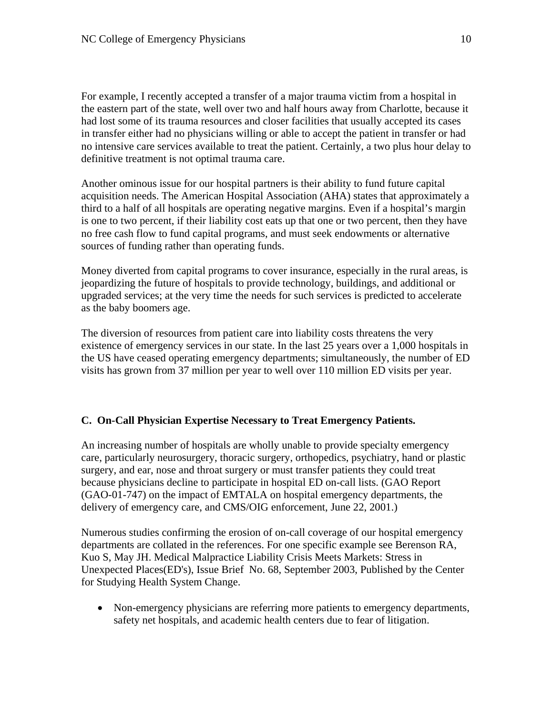For example, I recently accepted a transfer of a major trauma victim from a hospital in the eastern part of the state, well over two and half hours away from Charlotte, because it had lost some of its trauma resources and closer facilities that usually accepted its cases in transfer either had no physicians willing or able to accept the patient in transfer or had no intensive care services available to treat the patient. Certainly, a two plus hour delay to definitive treatment is not optimal trauma care.

Another ominous issue for our hospital partners is their ability to fund future capital acquisition needs. The American Hospital Association (AHA) states that approximately a third to a half of all hospitals are operating negative margins. Even if a hospital's margin is one to two percent, if their liability cost eats up that one or two percent, then they have no free cash flow to fund capital programs, and must seek endowments or alternative sources of funding rather than operating funds.

Money diverted from capital programs to cover insurance, especially in the rural areas, is jeopardizing the future of hospitals to provide technology, buildings, and additional or upgraded services; at the very time the needs for such services is predicted to accelerate as the baby boomers age.

The diversion of resources from patient care into liability costs threatens the very existence of emergency services in our state. In the last 25 years over a 1,000 hospitals in the US have ceased operating emergency departments; simultaneously, the number of ED visits has grown from 37 million per year to well over 110 million ED visits per year.

### **C. On-Call Physician Expertise Necessary to Treat Emergency Patients.**

An increasing number of hospitals are wholly unable to provide specialty emergency care, particularly neurosurgery, thoracic surgery, orthopedics, psychiatry, hand or plastic surgery, and ear, nose and throat surgery or must transfer patients they could treat because physicians decline to participate in hospital ED on-call lists. (GAO Report (GAO-01-747) on the impact of EMTALA on hospital emergency departments, the delivery of emergency care, and CMS/OIG enforcement, June 22, 2001.)

Numerous studies confirming the erosion of on-call coverage of our hospital emergency departments are collated in the references. For one specific example see Berenson RA, Kuo S, May JH. Medical Malpractice Liability Crisis Meets Markets: Stress in Unexpected Places(ED's), Issue Brief No. 68, September 2003, Published by the Center for Studying Health System Change.

• Non-emergency physicians are referring more patients to emergency departments, safety net hospitals, and academic health centers due to fear of litigation.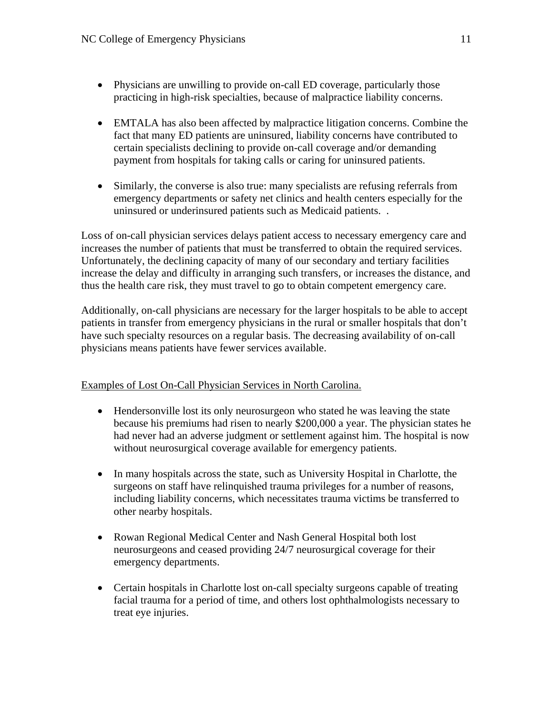- Physicians are unwilling to provide on-call ED coverage, particularly those practicing in high-risk specialties, because of malpractice liability concerns.
- EMTALA has also been affected by malpractice litigation concerns. Combine the fact that many ED patients are uninsured, liability concerns have contributed to certain specialists declining to provide on-call coverage and/or demanding payment from hospitals for taking calls or caring for uninsured patients.
- Similarly, the converse is also true: many specialists are refusing referrals from emergency departments or safety net clinics and health centers especially for the uninsured or underinsured patients such as Medicaid patients. .

Loss of on-call physician services delays patient access to necessary emergency care and increases the number of patients that must be transferred to obtain the required services. Unfortunately, the declining capacity of many of our secondary and tertiary facilities increase the delay and difficulty in arranging such transfers, or increases the distance, and thus the health care risk, they must travel to go to obtain competent emergency care.

Additionally, on-call physicians are necessary for the larger hospitals to be able to accept patients in transfer from emergency physicians in the rural or smaller hospitals that don't have such specialty resources on a regular basis. The decreasing availability of on-call physicians means patients have fewer services available.

## Examples of Lost On-Call Physician Services in North Carolina.

- Hendersonville lost its only neurosurgeon who stated he was leaving the state because his premiums had risen to nearly \$200,000 a year. The physician states he had never had an adverse judgment or settlement against him. The hospital is now without neurosurgical coverage available for emergency patients.
- In many hospitals across the state, such as University Hospital in Charlotte, the surgeons on staff have relinquished trauma privileges for a number of reasons, including liability concerns, which necessitates trauma victims be transferred to other nearby hospitals.
- Rowan Regional Medical Center and Nash General Hospital both lost neurosurgeons and ceased providing 24/7 neurosurgical coverage for their emergency departments.
- Certain hospitals in Charlotte lost on-call specialty surgeons capable of treating facial trauma for a period of time, and others lost ophthalmologists necessary to treat eye injuries.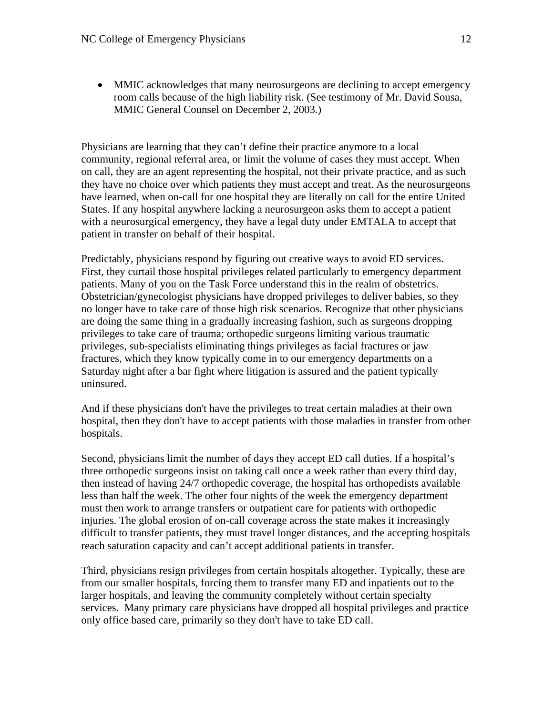• MMIC acknowledges that many neurosurgeons are declining to accept emergency room calls because of the high liability risk. (See testimony of Mr. David Sousa, MMIC General Counsel on December 2, 2003.)

Physicians are learning that they can't define their practice anymore to a local community, regional referral area, or limit the volume of cases they must accept. When on call, they are an agent representing the hospital, not their private practice, and as such they have no choice over which patients they must accept and treat. As the neurosurgeons have learned, when on-call for one hospital they are literally on call for the entire United States. If any hospital anywhere lacking a neurosurgeon asks them to accept a patient with a neurosurgical emergency, they have a legal duty under EMTALA to accept that patient in transfer on behalf of their hospital.

Predictably, physicians respond by figuring out creative ways to avoid ED services. First, they curtail those hospital privileges related particularly to emergency department patients. Many of you on the Task Force understand this in the realm of obstetrics. Obstetrician/gynecologist physicians have dropped privileges to deliver babies, so they no longer have to take care of those high risk scenarios. Recognize that other physicians are doing the same thing in a gradually increasing fashion, such as surgeons dropping privileges to take care of trauma; orthopedic surgeons limiting various traumatic privileges, sub-specialists eliminating things privileges as facial fractures or jaw fractures, which they know typically come in to our emergency departments on a Saturday night after a bar fight where litigation is assured and the patient typically uninsured.

And if these physicians don't have the privileges to treat certain maladies at their own hospital, then they don't have to accept patients with those maladies in transfer from other hospitals.

Second, physicians limit the number of days they accept ED call duties. If a hospital's three orthopedic surgeons insist on taking call once a week rather than every third day, then instead of having 24/7 orthopedic coverage, the hospital has orthopedists available less than half the week. The other four nights of the week the emergency department must then work to arrange transfers or outpatient care for patients with orthopedic injuries. The global erosion of on-call coverage across the state makes it increasingly difficult to transfer patients, they must travel longer distances, and the accepting hospitals reach saturation capacity and can't accept additional patients in transfer.

Third, physicians resign privileges from certain hospitals altogether. Typically, these are from our smaller hospitals, forcing them to transfer many ED and inpatients out to the larger hospitals, and leaving the community completely without certain specialty services. Many primary care physicians have dropped all hospital privileges and practice only office based care, primarily so they don't have to take ED call.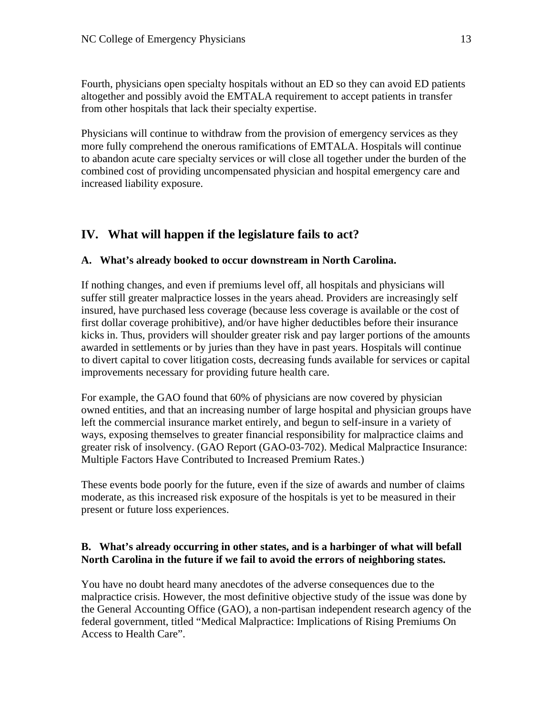Fourth, physicians open specialty hospitals without an ED so they can avoid ED patients altogether and possibly avoid the EMTALA requirement to accept patients in transfer from other hospitals that lack their specialty expertise.

Physicians will continue to withdraw from the provision of emergency services as they more fully comprehend the onerous ramifications of EMTALA. Hospitals will continue to abandon acute care specialty services or will close all together under the burden of the combined cost of providing uncompensated physician and hospital emergency care and increased liability exposure.

# **IV. What will happen if the legislature fails to act?**

### **A. What's already booked to occur downstream in North Carolina.**

If nothing changes, and even if premiums level off, all hospitals and physicians will suffer still greater malpractice losses in the years ahead. Providers are increasingly self insured, have purchased less coverage (because less coverage is available or the cost of first dollar coverage prohibitive), and/or have higher deductibles before their insurance kicks in. Thus, providers will shoulder greater risk and pay larger portions of the amounts awarded in settlements or by juries than they have in past years. Hospitals will continue to divert capital to cover litigation costs, decreasing funds available for services or capital improvements necessary for providing future health care.

For example, the GAO found that 60% of physicians are now covered by physician owned entities, and that an increasing number of large hospital and physician groups have left the commercial insurance market entirely, and begun to self-insure in a variety of ways, exposing themselves to greater financial responsibility for malpractice claims and greater risk of insolvency. (GAO Report (GAO-03-702). Medical Malpractice Insurance: Multiple Factors Have Contributed to Increased Premium Rates.)

These events bode poorly for the future, even if the size of awards and number of claims moderate, as this increased risk exposure of the hospitals is yet to be measured in their present or future loss experiences.

## **B. What's already occurring in other states, and is a harbinger of what will befall North Carolina in the future if we fail to avoid the errors of neighboring states.**

You have no doubt heard many anecdotes of the adverse consequences due to the malpractice crisis. However, the most definitive objective study of the issue was done by the General Accounting Office (GAO), a non-partisan independent research agency of the federal government, titled "Medical Malpractice: Implications of Rising Premiums On Access to Health Care".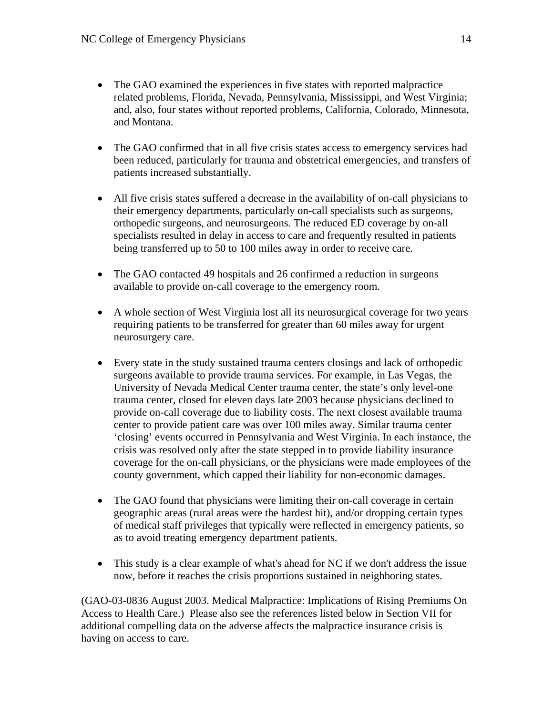- The GAO examined the experiences in five states with reported malpractice related problems, Florida, Nevada, Pennsylvania, Mississippi, and West Virginia; and, also, four states without reported problems, California, Colorado, Minnesota, and Montana.
- The GAO confirmed that in all five crisis states access to emergency services had been reduced, particularly for trauma and obstetrical emergencies, and transfers of patients increased substantially.
- All five crisis states suffered a decrease in the availability of on-call physicians to their emergency departments, particularly on-call specialists such as surgeons, orthopedic surgeons, and neurosurgeons. The reduced ED coverage by on-all specialists resulted in delay in access to care and frequently resulted in patients being transferred up to 50 to 100 miles away in order to receive care.
- The GAO contacted 49 hospitals and 26 confirmed a reduction in surgeons available to provide on-call coverage to the emergency room.
- A whole section of West Virginia lost all its neurosurgical coverage for two years requiring patients to be transferred for greater than 60 miles away for urgent neurosurgery care.
- Every state in the study sustained trauma centers closings and lack of orthopedic surgeons available to provide trauma services. For example, in Las Vegas, the University of Nevada Medical Center trauma center, the state's only level-one trauma center, closed for eleven days late 2003 because physicians declined to provide on-call coverage due to liability costs. The next closest available trauma center to provide patient care was over 100 miles away. Similar trauma center 'closing' events occurred in Pennsylvania and West Virginia. In each instance, the crisis was resolved only after the state stepped in to provide liability insurance coverage for the on-call physicians, or the physicians were made employees of the county government, which capped their liability for non-economic damages.
- The GAO found that physicians were limiting their on-call coverage in certain geographic areas (rural areas were the hardest hit), and/or dropping certain types of medical staff privileges that typically were reflected in emergency patients, so as to avoid treating emergency department patients.
- This study is a clear example of what's ahead for NC if we don't address the issue now, before it reaches the crisis proportions sustained in neighboring states.

(GAO-03-0836 August 2003. Medical Malpractice: Implications of Rising Premiums On Access to Health Care.) Please also see the references listed below in Section VII for additional compelling data on the adverse affects the malpractice insurance crisis is having on access to care.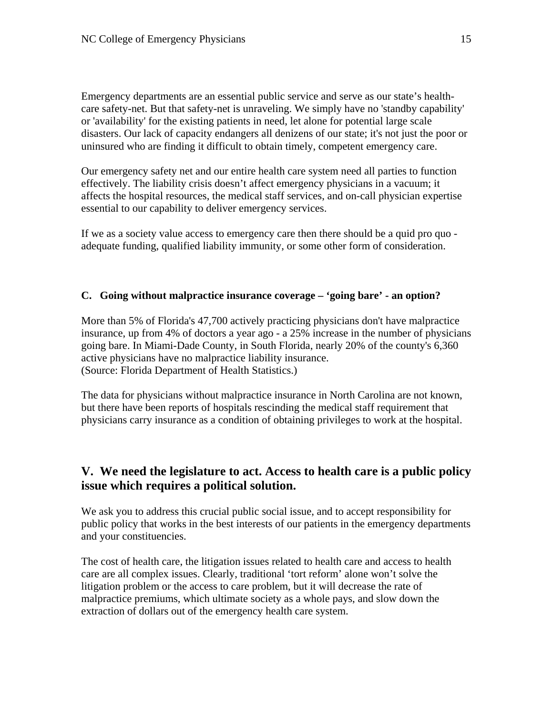Emergency departments are an essential public service and serve as our state's healthcare safety-net. But that safety-net is unraveling. We simply have no 'standby capability' or 'availability' for the existing patients in need, let alone for potential large scale disasters. Our lack of capacity endangers all denizens of our state; it's not just the poor or uninsured who are finding it difficult to obtain timely, competent emergency care.

Our emergency safety net and our entire health care system need all parties to function effectively. The liability crisis doesn't affect emergency physicians in a vacuum; it affects the hospital resources, the medical staff services, and on-call physician expertise essential to our capability to deliver emergency services.

If we as a society value access to emergency care then there should be a quid pro quo adequate funding, qualified liability immunity, or some other form of consideration.

### **C. Going without malpractice insurance coverage – 'going bare' - an option?**

More than 5% of Florida's 47,700 actively practicing physicians don't have malpractice insurance, up from 4% of doctors a year ago - a 25% increase in the number of physicians going bare. In Miami-Dade County, in South Florida, nearly 20% of the county's 6,360 active physicians have no malpractice liability insurance. (Source: Florida Department of Health Statistics.)

The data for physicians without malpractice insurance in North Carolina are not known, but there have been reports of hospitals rescinding the medical staff requirement that physicians carry insurance as a condition of obtaining privileges to work at the hospital.

# **V. We need the legislature to act. Access to health care is a public policy issue which requires a political solution.**

We ask you to address this crucial public social issue, and to accept responsibility for public policy that works in the best interests of our patients in the emergency departments and your constituencies.

The cost of health care, the litigation issues related to health care and access to health care are all complex issues. Clearly, traditional 'tort reform' alone won't solve the litigation problem or the access to care problem, but it will decrease the rate of malpractice premiums, which ultimate society as a whole pays, and slow down the extraction of dollars out of the emergency health care system.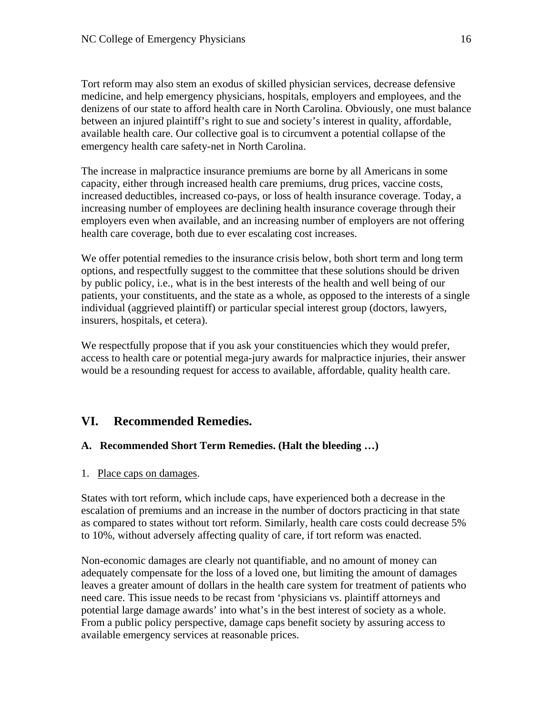Tort reform may also stem an exodus of skilled physician services, decrease defensive medicine, and help emergency physicians, hospitals, employers and employees, and the denizens of our state to afford health care in North Carolina. Obviously, one must balance between an injured plaintiff's right to sue and society's interest in quality, affordable, available health care. Our collective goal is to circumvent a potential collapse of the emergency health care safety-net in North Carolina.

The increase in malpractice insurance premiums are borne by all Americans in some capacity, either through increased health care premiums, drug prices, vaccine costs, increased deductibles, increased co-pays, or loss of health insurance coverage. Today, a increasing number of employees are declining health insurance coverage through their employers even when available, and an increasing number of employers are not offering health care coverage, both due to ever escalating cost increases.

We offer potential remedies to the insurance crisis below, both short term and long term options, and respectfully suggest to the committee that these solutions should be driven by public policy, i.e., what is in the best interests of the health and well being of our patients, your constituents, and the state as a whole, as opposed to the interests of a single individual (aggrieved plaintiff) or particular special interest group (doctors, lawyers, insurers, hospitals, et cetera).

We respectfully propose that if you ask your constituencies which they would prefer, access to health care or potential mega-jury awards for malpractice injuries, their answer would be a resounding request for access to available, affordable, quality health care.

# **VI. Recommended Remedies.**

# **A. Recommended Short Term Remedies. (Halt the bleeding …)**

1. Place caps on damages.

States with tort reform, which include caps, have experienced both a decrease in the escalation of premiums and an increase in the number of doctors practicing in that state as compared to states without tort reform. Similarly, health care costs could decrease 5% to 10%, without adversely affecting quality of care, if tort reform was enacted.

Non-economic damages are clearly not quantifiable, and no amount of money can adequately compensate for the loss of a loved one, but limiting the amount of damages leaves a greater amount of dollars in the health care system for treatment of patients who need care. This issue needs to be recast from 'physicians vs. plaintiff attorneys and potential large damage awards' into what's in the best interest of society as a whole. From a public policy perspective, damage caps benefit society by assuring access to available emergency services at reasonable prices.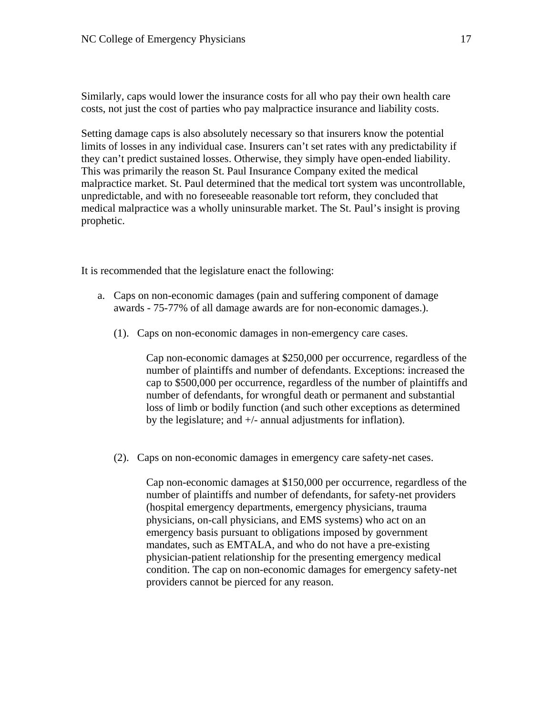Similarly, caps would lower the insurance costs for all who pay their own health care costs, not just the cost of parties who pay malpractice insurance and liability costs.

Setting damage caps is also absolutely necessary so that insurers know the potential limits of losses in any individual case. Insurers can't set rates with any predictability if they can't predict sustained losses. Otherwise, they simply have open-ended liability. This was primarily the reason St. Paul Insurance Company exited the medical malpractice market. St. Paul determined that the medical tort system was uncontrollable, unpredictable, and with no foreseeable reasonable tort reform, they concluded that medical malpractice was a wholly uninsurable market. The St. Paul's insight is proving prophetic.

It is recommended that the legislature enact the following:

- a. Caps on non-economic damages (pain and suffering component of damage awards - 75-77% of all damage awards are for non-economic damages.).
	- (1). Caps on non-economic damages in non-emergency care cases.

Cap non-economic damages at \$250,000 per occurrence, regardless of the number of plaintiffs and number of defendants. Exceptions: increased the cap to \$500,000 per occurrence, regardless of the number of plaintiffs and number of defendants, for wrongful death or permanent and substantial loss of limb or bodily function (and such other exceptions as determined by the legislature; and +/- annual adjustments for inflation).

(2). Caps on non-economic damages in emergency care safety-net cases.

Cap non-economic damages at \$150,000 per occurrence, regardless of the number of plaintiffs and number of defendants, for safety-net providers (hospital emergency departments, emergency physicians, trauma physicians, on-call physicians, and EMS systems) who act on an emergency basis pursuant to obligations imposed by government mandates, such as EMTALA, and who do not have a pre-existing physician-patient relationship for the presenting emergency medical condition. The cap on non-economic damages for emergency safety-net providers cannot be pierced for any reason.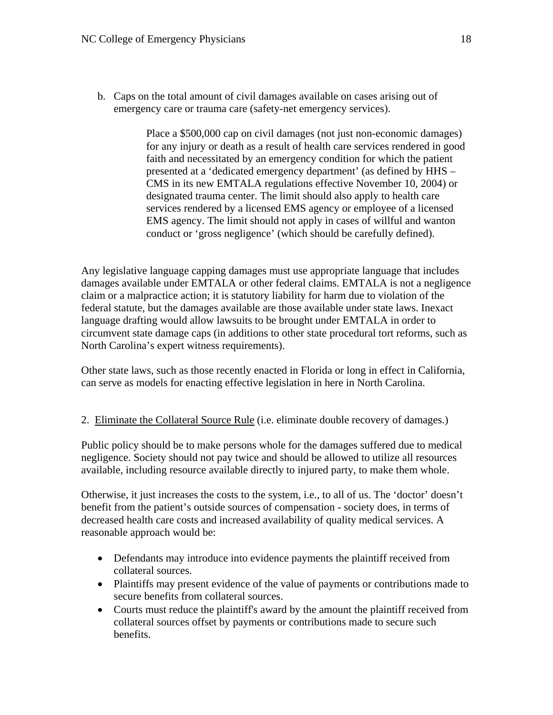b. Caps on the total amount of civil damages available on cases arising out of emergency care or trauma care (safety-net emergency services).

> Place a \$500,000 cap on civil damages (not just non-economic damages) for any injury or death as a result of health care services rendered in good faith and necessitated by an emergency condition for which the patient presented at a 'dedicated emergency department' (as defined by HHS – CMS in its new EMTALA regulations effective November 10, 2004) or designated trauma center. The limit should also apply to health care services rendered by a licensed EMS agency or employee of a licensed EMS agency. The limit should not apply in cases of willful and wanton conduct or 'gross negligence' (which should be carefully defined).

Any legislative language capping damages must use appropriate language that includes damages available under EMTALA or other federal claims. EMTALA is not a negligence claim or a malpractice action; it is statutory liability for harm due to violation of the federal statute, but the damages available are those available under state laws. Inexact language drafting would allow lawsuits to be brought under EMTALA in order to circumvent state damage caps (in additions to other state procedural tort reforms, such as North Carolina's expert witness requirements).

Other state laws, such as those recently enacted in Florida or long in effect in California, can serve as models for enacting effective legislation in here in North Carolina.

2. Eliminate the Collateral Source Rule (i.e. eliminate double recovery of damages.)

Public policy should be to make persons whole for the damages suffered due to medical negligence. Society should not pay twice and should be allowed to utilize all resources available, including resource available directly to injured party, to make them whole.

Otherwise, it just increases the costs to the system, i.e., to all of us. The 'doctor' doesn't benefit from the patient's outside sources of compensation - society does, in terms of decreased health care costs and increased availability of quality medical services. A reasonable approach would be:

- Defendants may introduce into evidence payments the plaintiff received from collateral sources.
- Plaintiffs may present evidence of the value of payments or contributions made to secure benefits from collateral sources.
- Courts must reduce the plaintiff's award by the amount the plaintiff received from collateral sources offset by payments or contributions made to secure such benefits.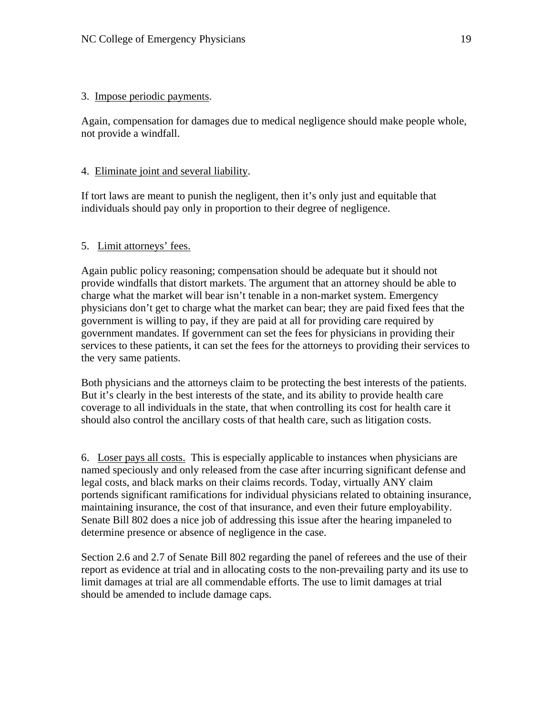### 3. Impose periodic payments.

Again, compensation for damages due to medical negligence should make people whole, not provide a windfall.

## 4. Eliminate joint and several liability.

If tort laws are meant to punish the negligent, then it's only just and equitable that individuals should pay only in proportion to their degree of negligence.

# 5. Limit attorneys' fees.

Again public policy reasoning; compensation should be adequate but it should not provide windfalls that distort markets. The argument that an attorney should be able to charge what the market will bear isn't tenable in a non-market system. Emergency physicians don't get to charge what the market can bear; they are paid fixed fees that the government is willing to pay, if they are paid at all for providing care required by government mandates. If government can set the fees for physicians in providing their services to these patients, it can set the fees for the attorneys to providing their services to the very same patients.

Both physicians and the attorneys claim to be protecting the best interests of the patients. But it's clearly in the best interests of the state, and its ability to provide health care coverage to all individuals in the state, that when controlling its cost for health care it should also control the ancillary costs of that health care, such as litigation costs.

6. Loser pays all costs. This is especially applicable to instances when physicians are named speciously and only released from the case after incurring significant defense and legal costs, and black marks on their claims records. Today, virtually ANY claim portends significant ramifications for individual physicians related to obtaining insurance, maintaining insurance, the cost of that insurance, and even their future employability. Senate Bill 802 does a nice job of addressing this issue after the hearing impaneled to determine presence or absence of negligence in the case.

Section 2.6 and 2.7 of Senate Bill 802 regarding the panel of referees and the use of their report as evidence at trial and in allocating costs to the non-prevailing party and its use to limit damages at trial are all commendable efforts. The use to limit damages at trial should be amended to include damage caps.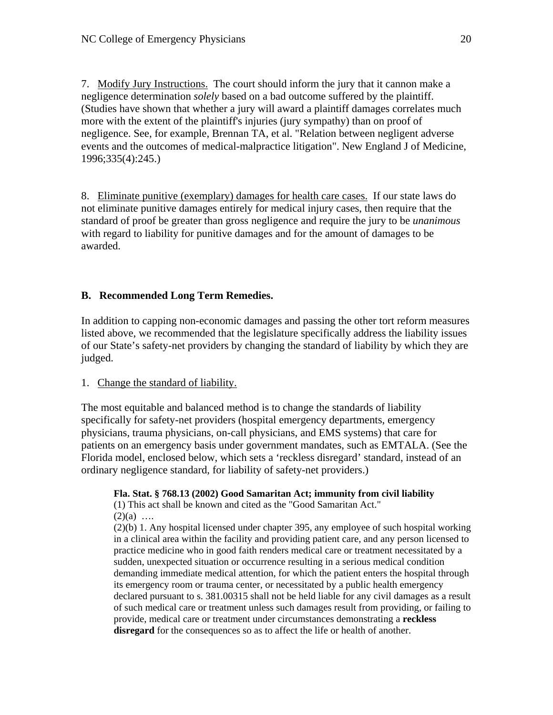7. Modify Jury Instructions. The court should inform the jury that it cannon make a negligence determination *solely* based on a bad outcome suffered by the plaintiff. (Studies have shown that whether a jury will award a plaintiff damages correlates much more with the extent of the plaintiff's injuries (jury sympathy) than on proof of negligence. See, for example, Brennan TA, et al. "Relation between negligent adverse events and the outcomes of medical-malpractice litigation". New England J of Medicine, 1996;335(4):245.)

8. Eliminate punitive (exemplary) damages for health care cases. If our state laws do not eliminate punitive damages entirely for medical injury cases, then require that the standard of proof be greater than gross negligence and require the jury to be *unanimous* with regard to liability for punitive damages and for the amount of damages to be awarded.

# **B. Recommended Long Term Remedies.**

In addition to capping non-economic damages and passing the other tort reform measures listed above, we recommended that the legislature specifically address the liability issues of our State's safety-net providers by changing the standard of liability by which they are judged.

### 1. Change the standard of liability.

The most equitable and balanced method is to change the standards of liability specifically for safety-net providers (hospital emergency departments, emergency physicians, trauma physicians, on-call physicians, and EMS systems) that care for patients on an emergency basis under government mandates, such as EMTALA. (See the Florida model, enclosed below, which sets a 'reckless disregard' standard, instead of an ordinary negligence standard, for liability of safety-net providers.)

**Fla. Stat. § 768.13 (2002) Good Samaritan Act; immunity from civil liability**  (1) This act shall be known and cited as the "Good Samaritan Act."  $(2)(a)$  ...

(2)(b) 1. Any hospital licensed under chapter 395, any employee of such hospital working in a clinical area within the facility and providing patient care, and any person licensed to practice medicine who in good faith renders medical care or treatment necessitated by a sudden, unexpected situation or occurrence resulting in a serious medical condition demanding immediate medical attention, for which the patient enters the hospital through its emergency room or trauma center, or necessitated by a public health emergency declared pursuant to s. 381.00315 shall not be held liable for any civil damages as a result of such medical care or treatment unless such damages result from providing, or failing to provide, medical care or treatment under circumstances demonstrating a **reckless**  disregard for the consequences so as to affect the life or health of another.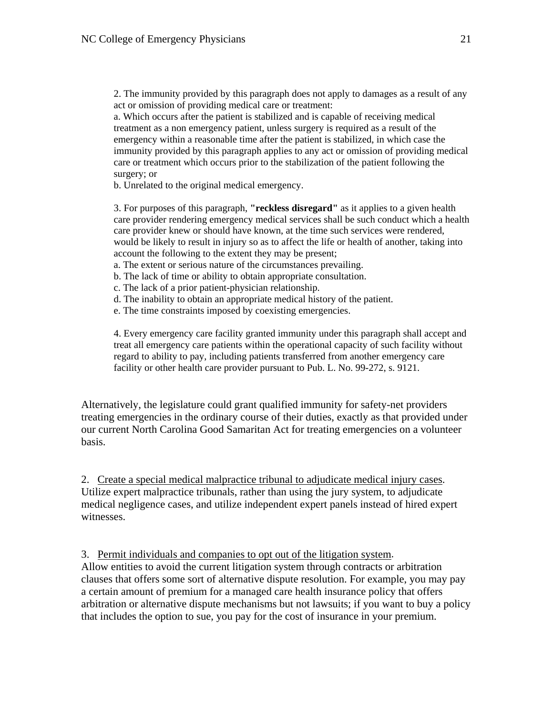2. The immunity provided by this paragraph does not apply to damages as a result of any act or omission of providing medical care or treatment:

a. Which occurs after the patient is stabilized and is capable of receiving medical treatment as a non emergency patient, unless surgery is required as a result of the emergency within a reasonable time after the patient is stabilized, in which case the immunity provided by this paragraph applies to any act or omission of providing medical care or treatment which occurs prior to the stabilization of the patient following the surgery; or

b. Unrelated to the original medical emergency.

3. For purposes of this paragraph, **"reckless disregard"** as it applies to a given health care provider rendering emergency medical services shall be such conduct which a health care provider knew or should have known, at the time such services were rendered, would be likely to result in injury so as to affect the life or health of another, taking into account the following to the extent they may be present;

- a. The extent or serious nature of the circumstances prevailing.
- b. The lack of time or ability to obtain appropriate consultation.
- c. The lack of a prior patient-physician relationship.
- d. The inability to obtain an appropriate medical history of the patient.
- e. The time constraints imposed by coexisting emergencies.

4. Every emergency care facility granted immunity under this paragraph shall accept and treat all emergency care patients within the operational capacity of such facility without regard to ability to pay, including patients transferred from another emergency care facility or other health care provider pursuant to Pub. L. No. 99-272, s. 9121.

Alternatively, the legislature could grant qualified immunity for safety-net providers treating emergencies in the ordinary course of their duties, exactly as that provided under our current North Carolina Good Samaritan Act for treating emergencies on a volunteer basis.

2. Create a special medical malpractice tribunal to adjudicate medical injury cases. Utilize expert malpractice tribunals, rather than using the jury system, to adjudicate medical negligence cases, and utilize independent expert panels instead of hired expert witnesses.

### 3. Permit individuals and companies to opt out of the litigation system.

Allow entities to avoid the current litigation system through contracts or arbitration clauses that offers some sort of alternative dispute resolution. For example, you may pay a certain amount of premium for a managed care health insurance policy that offers arbitration or alternative dispute mechanisms but not lawsuits; if you want to buy a policy that includes the option to sue, you pay for the cost of insurance in your premium.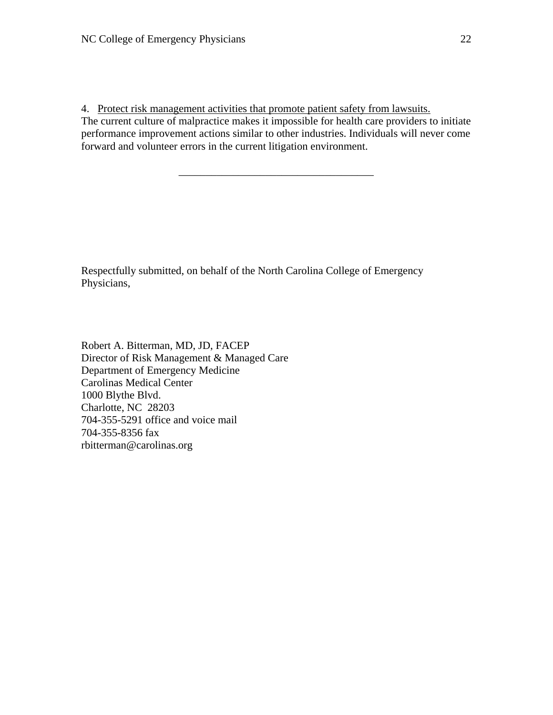4. Protect risk management activities that promote patient safety from lawsuits. The current culture of malpractice makes it impossible for health care providers to initiate performance improvement actions similar to other industries. Individuals will never come forward and volunteer errors in the current litigation environment.

\_\_\_\_\_\_\_\_\_\_\_\_\_\_\_\_\_\_\_\_\_\_\_\_\_\_\_\_\_\_\_\_\_\_\_\_

Respectfully submitted, on behalf of the North Carolina College of Emergency Physicians,

Robert A. Bitterman, MD, JD, FACEP Director of Risk Management & Managed Care Department of Emergency Medicine Carolinas Medical Center 1000 Blythe Blvd. Charlotte, NC 28203 704-355-5291 office and voice mail 704-355-8356 fax rbitterman@carolinas.org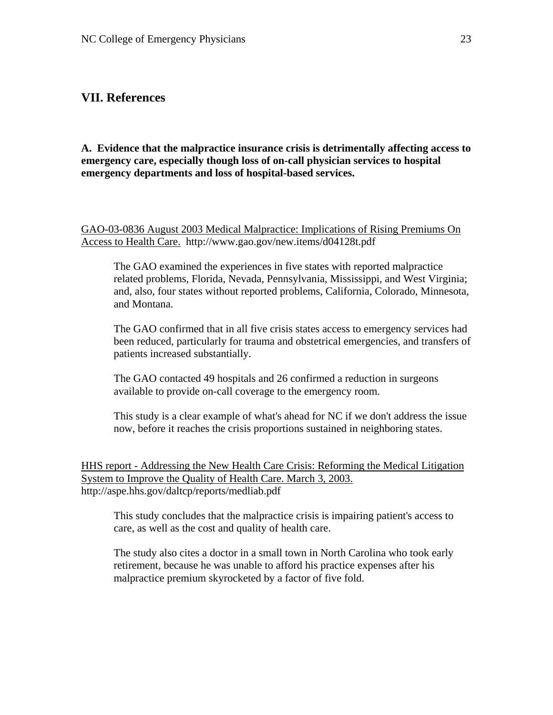## **VII. References**

**A. Evidence that the malpractice insurance crisis is detrimentally affecting access to emergency care, especially though loss of on-call physician services to hospital emergency departments and loss of hospital-based services.** 

GAO-03-0836 August 2003 Medical Malpractice: Implications of Rising Premiums On Access to Health Care. http://www.gao.gov/new.items/d04128t.pdf

The GAO examined the experiences in five states with reported malpractice related problems, Florida, Nevada, Pennsylvania, Mississippi, and West Virginia; and, also, four states without reported problems, California, Colorado, Minnesota, and Montana.

The GAO confirmed that in all five crisis states access to emergency services had been reduced, particularly for trauma and obstetrical emergencies, and transfers of patients increased substantially.

The GAO contacted 49 hospitals and 26 confirmed a reduction in surgeons available to provide on-call coverage to the emergency room.

This study is a clear example of what's ahead for NC if we don't address the issue now, before it reaches the crisis proportions sustained in neighboring states.

HHS report - Addressing the New Health Care Crisis: Reforming the Medical Litigation System to Improve the Quality of Health Care. March 3, 2003. http://aspe.hhs.gov/daltcp/reports/medliab.pdf

This study concludes that the malpractice crisis is impairing patient's access to care, as well as the cost and quality of health care.

The study also cites a doctor in a small town in North Carolina who took early retirement, because he was unable to afford his practice expenses after his malpractice premium skyrocketed by a factor of five fold.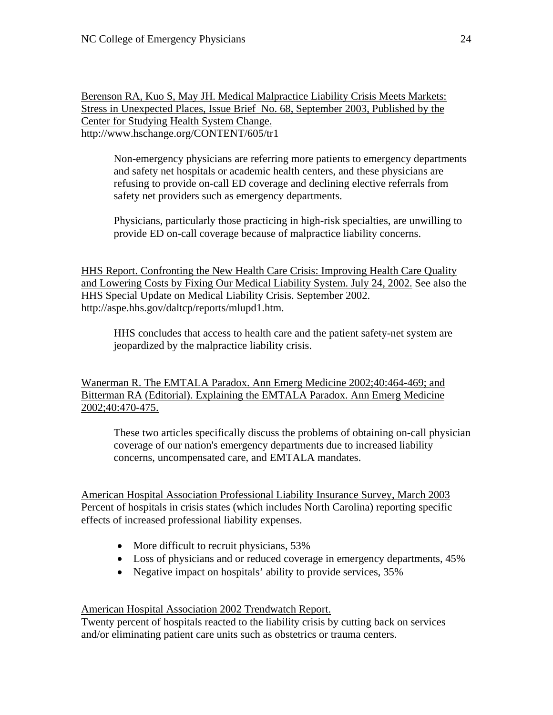Berenson RA, Kuo S, May JH. Medical Malpractice Liability Crisis Meets Markets: Stress in Unexpected Places, Issue Brief No. 68, September 2003, Published by the Center for Studying Health System Change. http://www.hschange.org/CONTENT/605/tr1

Non-emergency physicians are referring more patients to emergency departments and safety net hospitals or academic health centers, and these physicians are refusing to provide on-call ED coverage and declining elective referrals from safety net providers such as emergency departments.

Physicians, particularly those practicing in high-risk specialties, are unwilling to provide ED on-call coverage because of malpractice liability concerns.

HHS Report. Confronting the New Health Care Crisis: Improving Health Care Quality and Lowering Costs by Fixing Our Medical Liability System. July 24, 2002. See also the HHS Special Update on Medical Liability Crisis. September 2002. http://aspe.hhs.gov/daltcp/reports/mlupd1.htm.

HHS concludes that access to health care and the patient safety-net system are jeopardized by the malpractice liability crisis.

Wanerman R. The EMTALA Paradox. Ann Emerg Medicine 2002;40:464-469; and Bitterman RA (Editorial). Explaining the EMTALA Paradox. Ann Emerg Medicine 2002;40:470-475.

These two articles specifically discuss the problems of obtaining on-call physician coverage of our nation's emergency departments due to increased liability concerns, uncompensated care, and EMTALA mandates.

American Hospital Association Professional Liability Insurance Survey, March 2003 Percent of hospitals in crisis states (which includes North Carolina) reporting specific effects of increased professional liability expenses.

- More difficult to recruit physicians, 53%
- Loss of physicians and or reduced coverage in emergency departments,  $45\%$
- Negative impact on hospitals' ability to provide services,  $35\%$

American Hospital Association 2002 Trendwatch Report.

Twenty percent of hospitals reacted to the liability crisis by cutting back on services and/or eliminating patient care units such as obstetrics or trauma centers.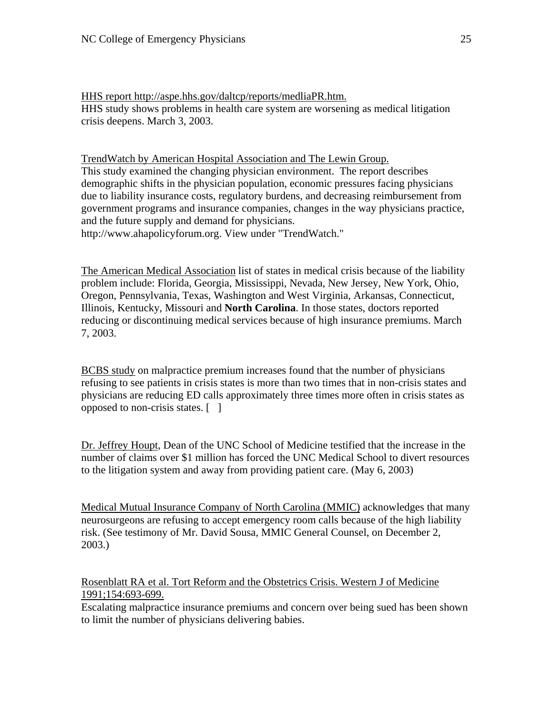HHS report http://aspe.hhs.gov/daltcp/reports/medliaPR.htm. HHS study shows problems in health care system are worsening as medical litigation crisis deepens. March 3, 2003.

TrendWatch by American Hospital Association and The Lewin Group. This study examined the changing physician environment. The report describes demographic shifts in the physician population, economic pressures facing physicians due to liability insurance costs, regulatory burdens, and decreasing reimbursement from government programs and insurance companies, changes in the way physicians practice, and the future supply and demand for physicians. http://www.ahapolicyforum.org. View under "TrendWatch."

The American Medical Association list of states in medical crisis because of the liability problem include: Florida, Georgia, Mississippi, Nevada, New Jersey, New York, Ohio, Oregon, Pennsylvania, Texas, Washington and West Virginia, Arkansas, Connecticut, Illinois, Kentucky, Missouri and **North Carolina**. In those states, doctors reported reducing or discontinuing medical services because of high insurance premiums. March 7, 2003.

BCBS study on malpractice premium increases found that the number of physicians refusing to see patients in crisis states is more than two times that in non-crisis states and physicians are reducing ED calls approximately three times more often in crisis states as opposed to non-crisis states. [ ]

Dr. Jeffrey Houpt, Dean of the UNC School of Medicine testified that the increase in the number of claims over \$1 million has forced the UNC Medical School to divert resources to the litigation system and away from providing patient care. (May 6, 2003)

Medical Mutual Insurance Company of North Carolina (MMIC) acknowledges that many neurosurgeons are refusing to accept emergency room calls because of the high liability risk. (See testimony of Mr. David Sousa, MMIC General Counsel, on December 2, 2003.)

Rosenblatt RA et al. Tort Reform and the Obstetrics Crisis. Western J of Medicine 1991;154:693-699.

Escalating malpractice insurance premiums and concern over being sued has been shown to limit the number of physicians delivering babies.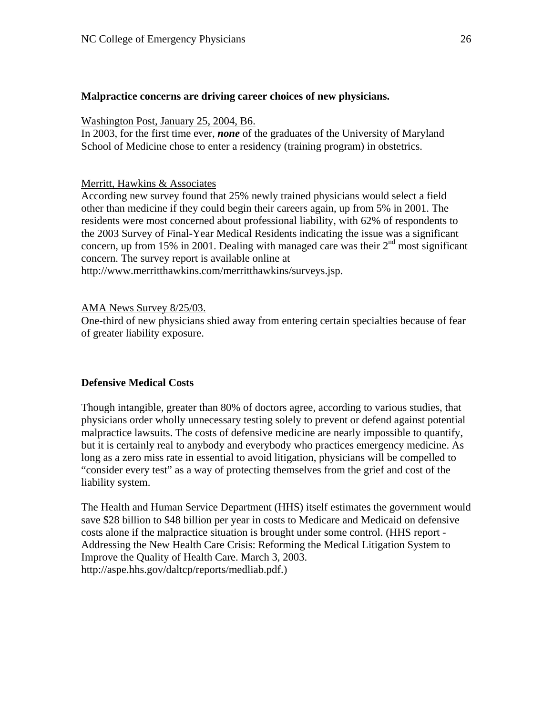### **Malpractice concerns are driving career choices of new physicians.**

#### Washington Post, January 25, 2004, B6.

In 2003, for the first time ever, *none* of the graduates of the University of Maryland School of Medicine chose to enter a residency (training program) in obstetrics.

### Merritt, Hawkins & Associates

According new survey found that 25% newly trained physicians would select a field other than medicine if they could begin their careers again, up from 5% in 2001. The residents were most concerned about professional liability, with 62% of respondents to the 2003 Survey of Final-Year Medical Residents indicating the issue was a significant concern, up from 15% in 2001. Dealing with managed care was their  $2<sup>nd</sup>$  most significant concern. The survey report is available online at http://www.merritthawkins.com/merritthawkins/surveys.jsp.

### AMA News Survey 8/25/03.

One-third of new physicians shied away from entering certain specialties because of fear of greater liability exposure.

### **Defensive Medical Costs**

Though intangible, greater than 80% of doctors agree, according to various studies, that physicians order wholly unnecessary testing solely to prevent or defend against potential malpractice lawsuits. The costs of defensive medicine are nearly impossible to quantify, but it is certainly real to anybody and everybody who practices emergency medicine. As long as a zero miss rate in essential to avoid litigation, physicians will be compelled to "consider every test" as a way of protecting themselves from the grief and cost of the liability system.

The Health and Human Service Department (HHS) itself estimates the government would save \$28 billion to \$48 billion per year in costs to Medicare and Medicaid on defensive costs alone if the malpractice situation is brought under some control. (HHS report - Addressing the New Health Care Crisis: Reforming the Medical Litigation System to Improve the Quality of Health Care. March 3, 2003. http://aspe.hhs.gov/daltcp/reports/medliab.pdf.)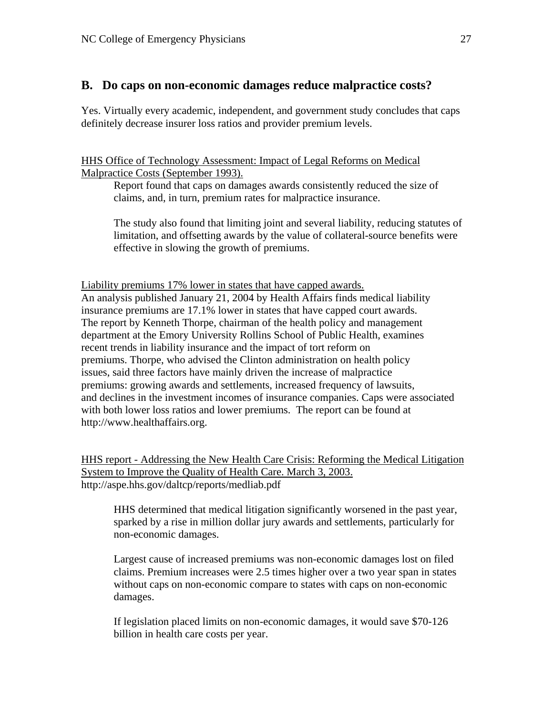## **B. Do caps on non-economic damages reduce malpractice costs?**

Yes. Virtually every academic, independent, and government study concludes that caps definitely decrease insurer loss ratios and provider premium levels.

HHS Office of Technology Assessment: Impact of Legal Reforms on Medical Malpractice Costs (September 1993).

Report found that caps on damages awards consistently reduced the size of claims, and, in turn, premium rates for malpractice insurance.

The study also found that limiting joint and several liability, reducing statutes of limitation, and offsetting awards by the value of collateral-source benefits were effective in slowing the growth of premiums.

Liability premiums 17% lower in states that have capped awards. An analysis published January 21, 2004 by Health Affairs finds medical liability insurance premiums are 17.1% lower in states that have capped court awards. The report by Kenneth Thorpe, chairman of the health policy and management department at the Emory University Rollins School of Public Health, examines recent trends in liability insurance and the impact of tort reform on premiums. Thorpe, who advised the Clinton administration on health policy issues, said three factors have mainly driven the increase of malpractice premiums: growing awards and settlements, increased frequency of lawsuits, and declines in the investment incomes of insurance companies. Caps were associated with both lower loss ratios and lower premiums. The report can be found at http://www.healthaffairs.org.

HHS report - Addressing the New Health Care Crisis: Reforming the Medical Litigation System to Improve the Quality of Health Care. March 3, 2003. http://aspe.hhs.gov/daltcp/reports/medliab.pdf

HHS determined that medical litigation significantly worsened in the past year, sparked by a rise in million dollar jury awards and settlements, particularly for non-economic damages.

Largest cause of increased premiums was non-economic damages lost on filed claims. Premium increases were 2.5 times higher over a two year span in states without caps on non-economic compare to states with caps on non-economic damages.

If legislation placed limits on non-economic damages, it would save \$70-126 billion in health care costs per year.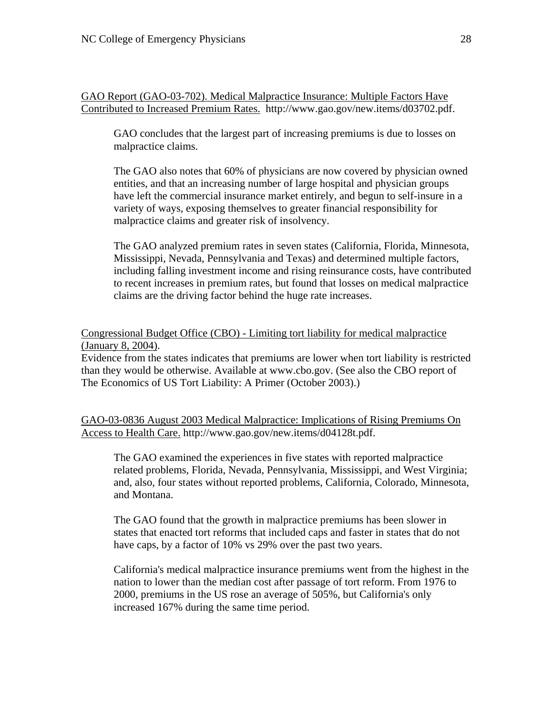GAO Report (GAO-03-702). Medical Malpractice Insurance: Multiple Factors Have Contributed to Increased Premium Rates. http://www.gao.gov/new.items/d03702.pdf.

GAO concludes that the largest part of increasing premiums is due to losses on malpractice claims.

The GAO also notes that 60% of physicians are now covered by physician owned entities, and that an increasing number of large hospital and physician groups have left the commercial insurance market entirely, and begun to self-insure in a variety of ways, exposing themselves to greater financial responsibility for malpractice claims and greater risk of insolvency.

The GAO analyzed premium rates in seven states (California, Florida, Minnesota, Mississippi, Nevada, Pennsylvania and Texas) and determined multiple factors, including falling investment income and rising reinsurance costs, have contributed to recent increases in premium rates, but found that losses on medical malpractice claims are the driving factor behind the huge rate increases.

Congressional Budget Office (CBO) - Limiting tort liability for medical malpractice (January 8, 2004).

Evidence from the states indicates that premiums are lower when tort liability is restricted than they would be otherwise. Available at www.cbo.gov. (See also the CBO report of The Economics of US Tort Liability: A Primer (October 2003).)

GAO-03-0836 August 2003 Medical Malpractice: Implications of Rising Premiums On Access to Health Care. http://www.gao.gov/new.items/d04128t.pdf.

The GAO examined the experiences in five states with reported malpractice related problems, Florida, Nevada, Pennsylvania, Mississippi, and West Virginia; and, also, four states without reported problems, California, Colorado, Minnesota, and Montana.

The GAO found that the growth in malpractice premiums has been slower in states that enacted tort reforms that included caps and faster in states that do not have caps, by a factor of 10% vs 29% over the past two years.

California's medical malpractice insurance premiums went from the highest in the nation to lower than the median cost after passage of tort reform. From 1976 to 2000, premiums in the US rose an average of 505%, but California's only increased 167% during the same time period.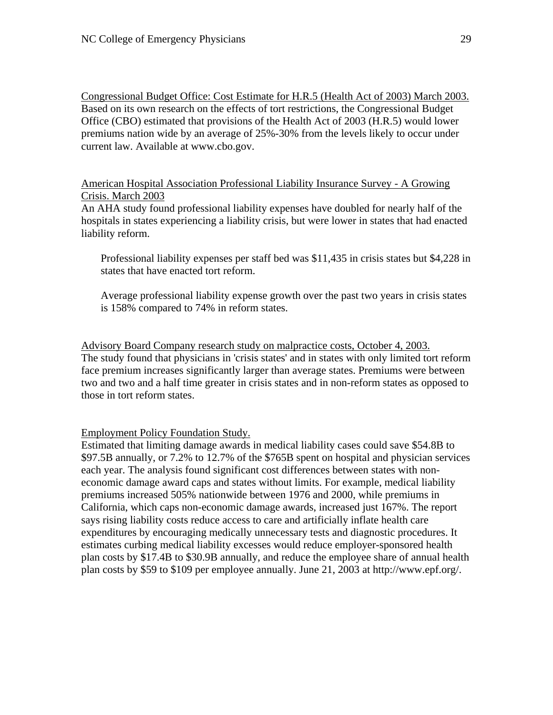Congressional Budget Office: Cost Estimate for H.R.5 (Health Act of 2003) March 2003. Based on its own research on the effects of tort restrictions, the Congressional Budget Office (CBO) estimated that provisions of the Health Act of 2003 (H.R.5) would lower premiums nation wide by an average of 25%-30% from the levels likely to occur under current law. Available at www.cbo.gov.

American Hospital Association Professional Liability Insurance Survey - A Growing Crisis. March 2003

An AHA study found professional liability expenses have doubled for nearly half of the hospitals in states experiencing a liability crisis, but were lower in states that had enacted liability reform.

Professional liability expenses per staff bed was \$11,435 in crisis states but \$4,228 in states that have enacted tort reform.

Average professional liability expense growth over the past two years in crisis states is 158% compared to 74% in reform states.

Advisory Board Company research study on malpractice costs, October 4, 2003. The study found that physicians in 'crisis states' and in states with only limited tort reform face premium increases significantly larger than average states. Premiums were between two and two and a half time greater in crisis states and in non-reform states as opposed to those in tort reform states.

Employment Policy Foundation Study.

Estimated that limiting damage awards in medical liability cases could save \$54.8B to \$97.5B annually, or 7.2% to 12.7% of the \$765B spent on hospital and physician services each year. The analysis found significant cost differences between states with noneconomic damage award caps and states without limits. For example, medical liability premiums increased 505% nationwide between 1976 and 2000, while premiums in California, which caps non-economic damage awards, increased just 167%. The report says rising liability costs reduce access to care and artificially inflate health care expenditures by encouraging medically unnecessary tests and diagnostic procedures. It estimates curbing medical liability excesses would reduce employer-sponsored health plan costs by \$17.4B to \$30.9B annually, and reduce the employee share of annual health plan costs by \$59 to \$109 per employee annually. June 21, 2003 at http://www.epf.org/.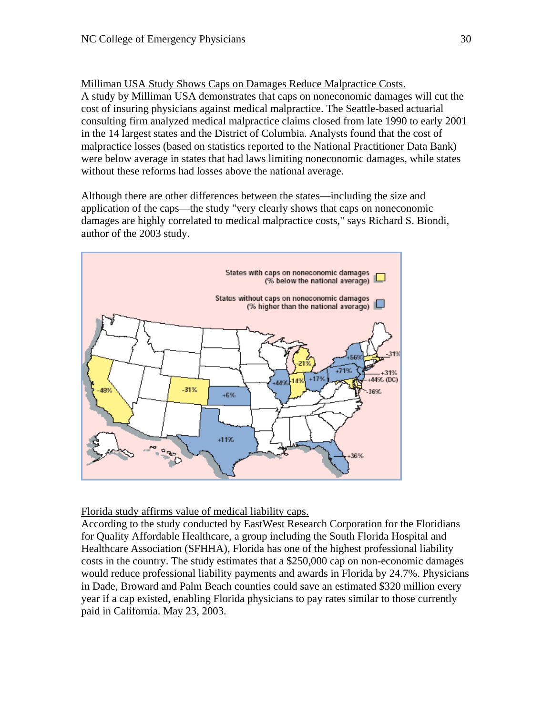Milliman USA Study Shows Caps on Damages Reduce Malpractice Costs. A study by Milliman USA demonstrates that caps on noneconomic damages will cut the cost of insuring physicians against medical malpractice. The Seattle-based actuarial consulting firm analyzed medical malpractice claims closed from late 1990 to early 2001 in the 14 largest states and the District of Columbia. Analysts found that the cost of malpractice losses (based on statistics reported to the National Practitioner Data Bank) were below average in states that had laws limiting noneconomic damages, while states without these reforms had losses above the national average.

Although there are other differences between the states—including the size and application of the caps—the study "very clearly shows that caps on noneconomic damages are highly correlated to medical malpractice costs," says Richard S. Biondi, author of the 2003 study.



Florida study affirms value of medical liability caps.

According to the study conducted by EastWest Research Corporation for the Floridians for Quality Affordable Healthcare, a group including the South Florida Hospital and Healthcare Association (SFHHA), Florida has one of the highest professional liability costs in the country. The study estimates that a \$250,000 cap on non-economic damages would reduce professional liability payments and awards in Florida by 24.7%. Physicians in Dade, Broward and Palm Beach counties could save an estimated \$320 million every year if a cap existed, enabling Florida physicians to pay rates similar to those currently paid in California. May 23, 2003.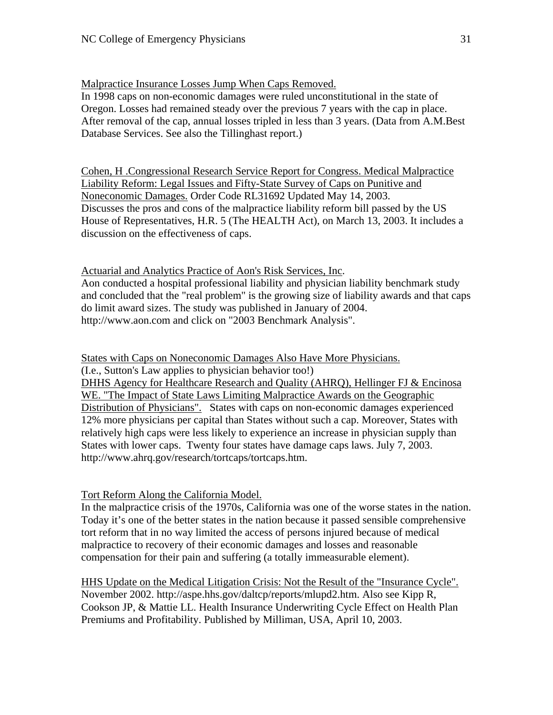Malpractice Insurance Losses Jump When Caps Removed.

In 1998 caps on non-economic damages were ruled unconstitutional in the state of Oregon. Losses had remained steady over the previous 7 years with the cap in place. After removal of the cap, annual losses tripled in less than 3 years. (Data from A.M.Best Database Services. See also the Tillinghast report.)

Cohen, H .Congressional Research Service Report for Congress. Medical Malpractice Liability Reform: Legal Issues and Fifty-State Survey of Caps on Punitive and Noneconomic Damages. Order Code RL31692 Updated May 14, 2003. Discusses the pros and cons of the malpractice liability reform bill passed by the US House of Representatives, H.R. 5 (The HEALTH Act), on March 13, 2003. It includes a discussion on the effectiveness of caps.

Actuarial and Analytics Practice of Aon's Risk Services, Inc.

Aon conducted a hospital professional liability and physician liability benchmark study and concluded that the "real problem" is the growing size of liability awards and that caps do limit award sizes. The study was published in January of 2004. http://www.aon.com and click on "2003 Benchmark Analysis".

States with Caps on Noneconomic Damages Also Have More Physicians.

(I.e., Sutton's Law applies to physician behavior too!) DHHS Agency for Healthcare Research and Quality (AHRQ), Hellinger FJ & Encinosa

WE. "The Impact of State Laws Limiting Malpractice Awards on the Geographic Distribution of Physicians". States with caps on non-economic damages experienced 12% more physicians per capital than States without such a cap. Moreover, States with relatively high caps were less likely to experience an increase in physician supply than States with lower caps. Twenty four states have damage caps laws. July 7, 2003. http://www.ahrq.gov/research/tortcaps/tortcaps.htm.

Tort Reform Along the California Model.

In the malpractice crisis of the 1970s, California was one of the worse states in the nation. Today it's one of the better states in the nation because it passed sensible comprehensive tort reform that in no way limited the access of persons injured because of medical malpractice to recovery of their economic damages and losses and reasonable compensation for their pain and suffering (a totally immeasurable element).

HHS Update on the Medical Litigation Crisis: Not the Result of the "Insurance Cycle". November 2002. http://aspe.hhs.gov/daltcp/reports/mlupd2.htm. Also see Kipp R, Cookson JP, & Mattie LL. Health Insurance Underwriting Cycle Effect on Health Plan Premiums and Profitability. Published by Milliman, USA, April 10, 2003.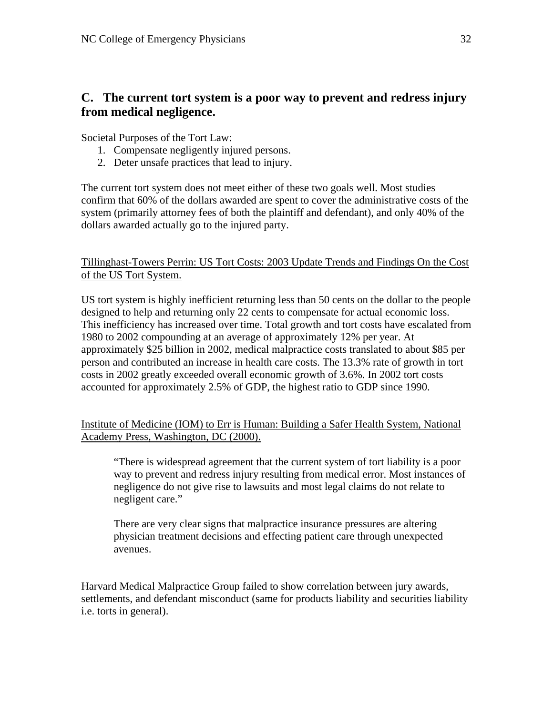# **C. The current tort system is a poor way to prevent and redress injury from medical negligence.**

Societal Purposes of the Tort Law:

- 1. Compensate negligently injured persons.
- 2. Deter unsafe practices that lead to injury.

The current tort system does not meet either of these two goals well. Most studies confirm that 60% of the dollars awarded are spent to cover the administrative costs of the system (primarily attorney fees of both the plaintiff and defendant), and only 40% of the dollars awarded actually go to the injured party.

Tillinghast-Towers Perrin: US Tort Costs: 2003 Update Trends and Findings On the Cost of the US Tort System.

US tort system is highly inefficient returning less than 50 cents on the dollar to the people designed to help and returning only 22 cents to compensate for actual economic loss. This inefficiency has increased over time. Total growth and tort costs have escalated from 1980 to 2002 compounding at an average of approximately 12% per year. At approximately \$25 billion in 2002, medical malpractice costs translated to about \$85 per person and contributed an increase in health care costs. The 13.3% rate of growth in tort costs in 2002 greatly exceeded overall economic growth of 3.6%. In 2002 tort costs accounted for approximately 2.5% of GDP, the highest ratio to GDP since 1990.

Institute of Medicine (IOM) to Err is Human: Building a Safer Health System, National Academy Press, Washington, DC (2000).

"There is widespread agreement that the current system of tort liability is a poor way to prevent and redress injury resulting from medical error. Most instances of negligence do not give rise to lawsuits and most legal claims do not relate to negligent care."

There are very clear signs that malpractice insurance pressures are altering physician treatment decisions and effecting patient care through unexpected avenues.

Harvard Medical Malpractice Group failed to show correlation between jury awards, settlements, and defendant misconduct (same for products liability and securities liability i.e. torts in general).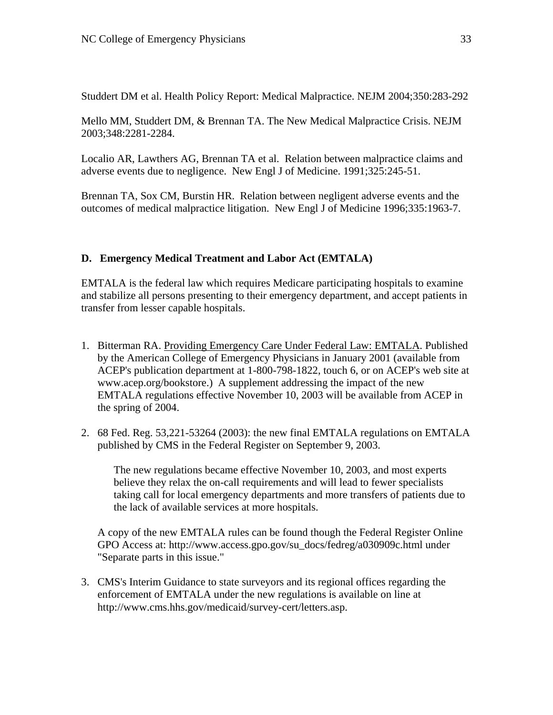Studdert DM et al. Health Policy Report: Medical Malpractice. NEJM 2004;350:283-292

Mello MM, Studdert DM, & Brennan TA. The New Medical Malpractice Crisis. NEJM 2003;348:2281-2284.

Localio AR, Lawthers AG, Brennan TA et al. Relation between malpractice claims and adverse events due to negligence. New Engl J of Medicine. 1991;325:245-51.

Brennan TA, Sox CM, Burstin HR. Relation between negligent adverse events and the outcomes of medical malpractice litigation. New Engl J of Medicine 1996;335:1963-7.

# **D. Emergency Medical Treatment and Labor Act (EMTALA)**

EMTALA is the federal law which requires Medicare participating hospitals to examine and stabilize all persons presenting to their emergency department, and accept patients in transfer from lesser capable hospitals.

- 1. Bitterman RA. Providing Emergency Care Under Federal Law: EMTALA. Published by the American College of Emergency Physicians in January 2001 (available from ACEP's publication department at 1-800-798-1822, touch 6, or on ACEP's web site at www.acep.org/bookstore.) A supplement addressing the impact of the new EMTALA regulations effective November 10, 2003 will be available from ACEP in the spring of 2004.
- 2. 68 Fed. Reg. 53,221-53264 (2003): the new final EMTALA regulations on EMTALA published by CMS in the Federal Register on September 9, 2003.

The new regulations became effective November 10, 2003, and most experts believe they relax the on-call requirements and will lead to fewer specialists taking call for local emergency departments and more transfers of patients due to the lack of available services at more hospitals.

A copy of the new EMTALA rules can be found though the Federal Register Online GPO Access at: http://www.access.gpo.gov/su\_docs/fedreg/a030909c.html under "Separate parts in this issue."

3. CMS's Interim Guidance to state surveyors and its regional offices regarding the enforcement of EMTALA under the new regulations is available on line at http://www.cms.hhs.gov/medicaid/survey-cert/letters.asp.